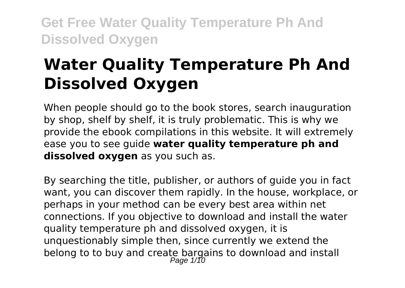# **Water Quality Temperature Ph And Dissolved Oxygen**

When people should go to the book stores, search inauguration by shop, shelf by shelf, it is truly problematic. This is why we provide the ebook compilations in this website. It will extremely ease you to see guide **water quality temperature ph and dissolved oxygen** as you such as.

By searching the title, publisher, or authors of guide you in fact want, you can discover them rapidly. In the house, workplace, or perhaps in your method can be every best area within net connections. If you objective to download and install the water quality temperature ph and dissolved oxygen, it is unquestionably simple then, since currently we extend the belong to to buy and create bargains to download and install<br>  $P_{\text{age 1/10}}$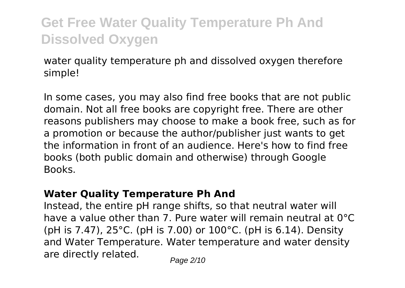water quality temperature ph and dissolved oxygen therefore simple!

In some cases, you may also find free books that are not public domain. Not all free books are copyright free. There are other reasons publishers may choose to make a book free, such as for a promotion or because the author/publisher just wants to get the information in front of an audience. Here's how to find free books (both public domain and otherwise) through Google Books.

#### **Water Quality Temperature Ph And**

Instead, the entire pH range shifts, so that neutral water will have a value other than 7. Pure water will remain neutral at 0°C (pH is 7.47), 25°C. (pH is 7.00) or 100°C. (pH is 6.14). Density and Water Temperature. Water temperature and water density are directly related.  $P_{\text{face } 2/10}$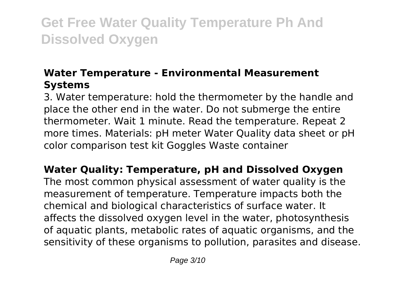### **Water Temperature - Environmental Measurement Systems**

3. Water temperature: hold the thermometer by the handle and place the other end in the water. Do not submerge the entire thermometer. Wait 1 minute. Read the temperature. Repeat 2 more times. Materials: pH meter Water Quality data sheet or pH color comparison test kit Goggles Waste container

**Water Quality: Temperature, pH and Dissolved Oxygen** The most common physical assessment of water quality is the measurement of temperature. Temperature impacts both the chemical and biological characteristics of surface water. It affects the dissolved oxygen level in the water, photosynthesis of aquatic plants, metabolic rates of aquatic organisms, and the sensitivity of these organisms to pollution, parasites and disease.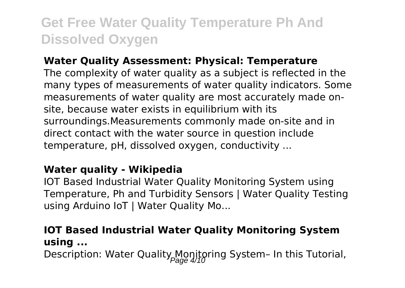#### **Water Quality Assessment: Physical: Temperature**

The complexity of water quality as a subject is reflected in the many types of measurements of water quality indicators. Some measurements of water quality are most accurately made onsite, because water exists in equilibrium with its surroundings.Measurements commonly made on-site and in direct contact with the water source in question include temperature, pH, dissolved oxygen, conductivity ...

#### **Water quality - Wikipedia**

IOT Based Industrial Water Quality Monitoring System using Temperature, Ph and Turbidity Sensors | Water Quality Testing using Arduino IoT | Water Quality Mo...

### **IOT Based Industrial Water Quality Monitoring System using ...**

Description: Water Quality Monitoring System- In this Tutorial,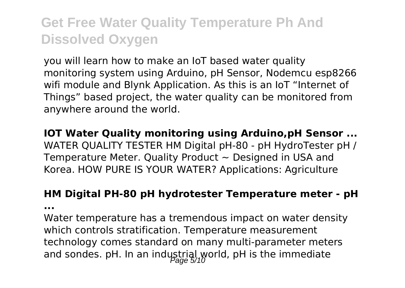you will learn how to make an IoT based water quality monitoring system using Arduino, pH Sensor, Nodemcu esp8266 wifi module and Blynk Application. As this is an IoT "Internet of Things" based project, the water quality can be monitored from anywhere around the world.

### **IOT Water Quality monitoring using Arduino,pH Sensor ...**

WATER QUALITY TESTER HM Digital pH-80 - pH HydroTester pH / Temperature Meter. Quality Product  $\sim$  Designed in USA and Korea. HOW PURE IS YOUR WATER? Applications: Agriculture

### **HM Digital PH-80 pH hydrotester Temperature meter - pH**

**...**

Water temperature has a tremendous impact on water density which controls stratification. Temperature measurement technology comes standard on many multi-parameter meters and sondes. pH. In an industrial world, pH is the immediate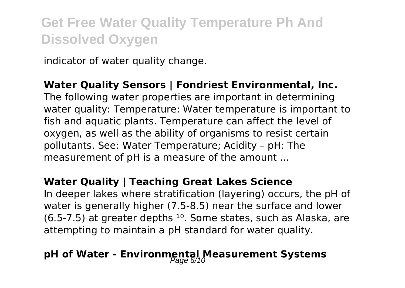indicator of water quality change.

#### **Water Quality Sensors | Fondriest Environmental, Inc.**

The following water properties are important in determining water quality: Temperature: Water temperature is important to fish and aquatic plants. Temperature can affect the level of oxygen, as well as the ability of organisms to resist certain pollutants. See: Water Temperature; Acidity – pH: The measurement of pH is a measure of the amount ...

#### **Water Quality | Teaching Great Lakes Science**

In deeper lakes where stratification (layering) occurs, the pH of water is generally higher (7.5-8.5) near the surface and lower  $(6.5-7.5)$  at greater depths  $^{10}$ . Some states, such as Alaska, are attempting to maintain a pH standard for water quality.

## **pH of Water - Environmental Measurement Systems**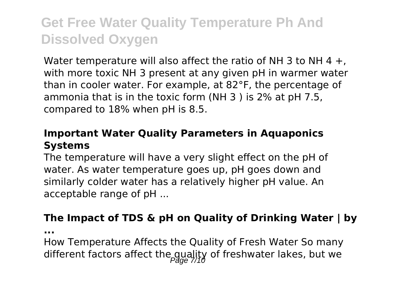Water temperature will also affect the ratio of NH 3 to NH 4  $+$ , with more toxic NH 3 present at any given pH in warmer water than in cooler water. For example, at 82°F, the percentage of ammonia that is in the toxic form (NH 3 ) is 2% at pH 7.5, compared to 18% when pH is 8.5.

#### **Important Water Quality Parameters in Aquaponics Systems**

The temperature will have a very slight effect on the pH of water. As water temperature goes up, pH goes down and similarly colder water has a relatively higher pH value. An acceptable range of pH ...

#### **The Impact of TDS & pH on Quality of Drinking Water | by**

**...**

How Temperature Affects the Quality of Fresh Water So many different factors affect the quality of freshwater lakes, but we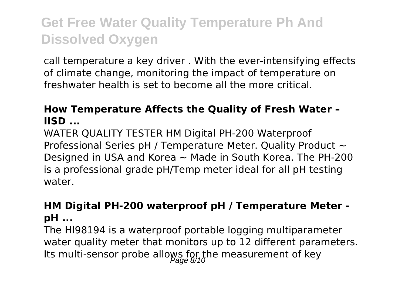call temperature a key driver . With the ever-intensifying effects of climate change, monitoring the impact of temperature on freshwater health is set to become all the more critical.

### **How Temperature Affects the Quality of Fresh Water – IISD ...**

WATER QUALITY TESTER HM Digital PH-200 Waterproof Professional Series pH / Temperature Meter. Quality Product ~ Designed in USA and Korea  $\sim$  Made in South Korea. The PH-200 is a professional grade pH/Temp meter ideal for all pH testing water.

#### **HM Digital PH-200 waterproof pH / Temperature Meter pH ...**

The HI98194 is a waterproof portable logging multiparameter water quality meter that monitors up to 12 different parameters. Its multi-sensor probe allows for the measurement of key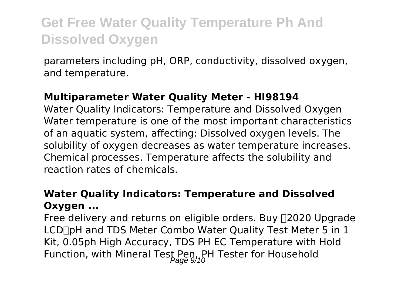parameters including pH, ORP, conductivity, dissolved oxygen, and temperature.

#### **Multiparameter Water Quality Meter - HI98194**

Water Quality Indicators: Temperature and Dissolved Oxygen Water temperature is one of the most important characteristics of an aquatic system, affecting: Dissolved oxygen levels. The solubility of oxygen decreases as water temperature increases. Chemical processes. Temperature affects the solubility and reaction rates of chemicals.

### **Water Quality Indicators: Temperature and Dissolved Oxygen ...**

Free delivery and returns on eligible orders. Buy [2020 Upgrade] LCD∏pH and TDS Meter Combo Water Quality Test Meter 5 in 1 Kit, 0.05ph High Accuracy, TDS PH EC Temperature with Hold Function, with Mineral Test Pen, PH Tester for Household